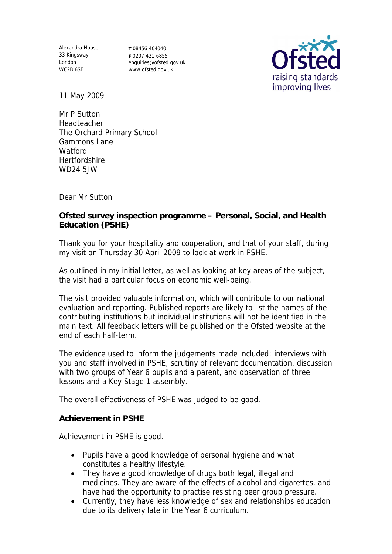Alexandra House 33 Kingsway London WC2B 6SE

**T** 08456 404040 **F** 0207 421 6855 enquiries@ofsted.gov.uk www.ofsted.gov.uk



11 May 2009

Mr P Sutton Headteacher The Orchard Primary School Gammons Lane Watford **Hertfordshire** WD24 5JW

Dear Mr Sutton

**Ofsted survey inspection programme – Personal, Social, and Health Education (PSHE)**

Thank you for your hospitality and cooperation, and that of your staff, during my visit on Thursday 30 April 2009 to look at work in PSHE.

As outlined in my initial letter, as well as looking at key areas of the subject, the visit had a particular focus on economic well-being.

The visit provided valuable information, which will contribute to our national evaluation and reporting. Published reports are likely to list the names of the contributing institutions but individual institutions will not be identified in the main text. All feedback letters will be published on the Ofsted website at the end of each half-term.

The evidence used to inform the judgements made included: interviews with you and staff involved in PSHE, scrutiny of relevant documentation, discussion with two groups of Year 6 pupils and a parent, and observation of three lessons and a Key Stage 1 assembly.

The overall effectiveness of PSHE was judged to be good.

**Achievement in PSHE**

Achievement in PSHE is good.

- Pupils have a good knowledge of personal hygiene and what constitutes a healthy lifestyle.
- They have a good knowledge of drugs both legal, illegal and medicines. They are aware of the effects of alcohol and cigarettes, and have had the opportunity to practise resisting peer group pressure.
- Currently, they have less knowledge of sex and relationships education due to its delivery late in the Year 6 curriculum.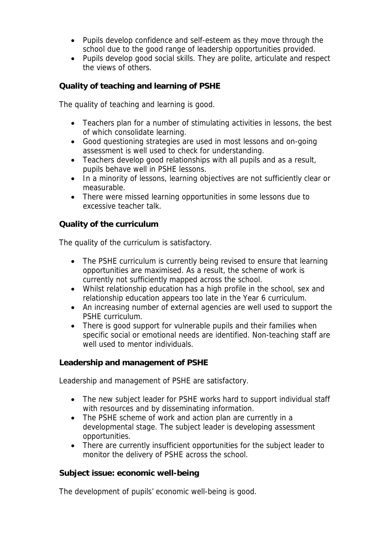- Pupils develop confidence and self-esteem as they move through the school due to the good range of leadership opportunities provided.
- Pupils develop good social skills. They are polite, articulate and respect the views of others.

**Quality of teaching and learning of PSHE**

The quality of teaching and learning is good.

- Teachers plan for a number of stimulating activities in lessons, the best of which consolidate learning.
- Good questioning strategies are used in most lessons and on-going assessment is well used to check for understanding.
- Teachers develop good relationships with all pupils and as a result, pupils behave well in PSHE lessons.
- In a minority of lessons, learning objectives are not sufficiently clear or measurable.
- There were missed learning opportunities in some lessons due to excessive teacher talk.

**Quality of the curriculum**

The quality of the curriculum is satisfactory.

- The PSHE curriculum is currently being revised to ensure that learning opportunities are maximised. As a result, the scheme of work is currently not sufficiently mapped across the school.
- Whilst relationship education has a high profile in the school, sex and relationship education appears too late in the Year 6 curriculum.
- An increasing number of external agencies are well used to support the PSHE curriculum.
- There is good support for vulnerable pupils and their families when specific social or emotional needs are identified. Non-teaching staff are well used to mentor individuals.

**Leadership and management of PSHE**

Leadership and management of PSHE are satisfactory.

- The new subject leader for PSHE works hard to support individual staff with resources and by disseminating information.
- The PSHE scheme of work and action plan are currently in a developmental stage. The subject leader is developing assessment opportunities.
- There are currently insufficient opportunities for the subject leader to monitor the delivery of PSHE across the school.

**Subject issue: economic well-being**

The development of pupils' economic well-being is good.